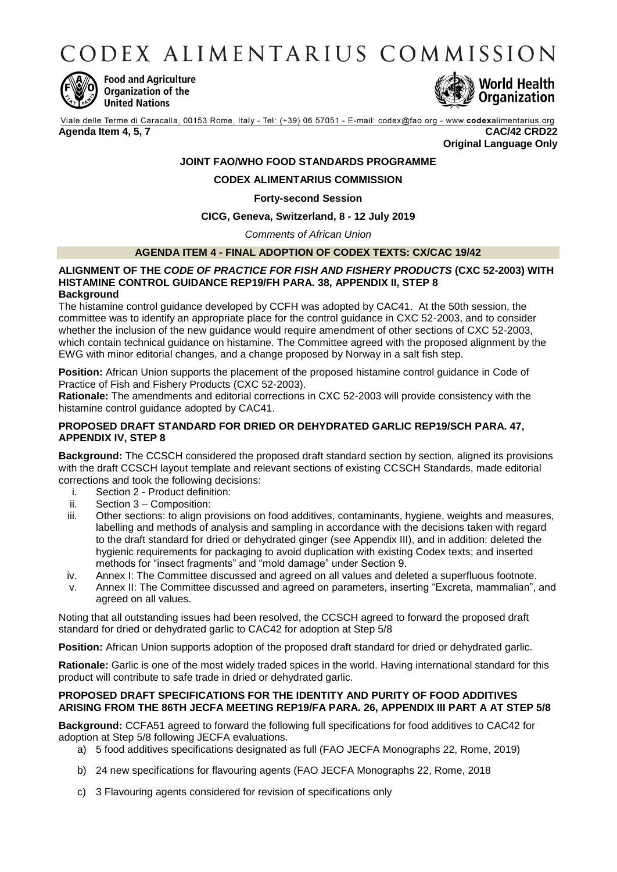CODEX ALIMENTARIUS COMMISSION



**Food and Agriculture** Organization of the **United Nations** 



Viale delle Terme di Caracalla, 00153 Rome, Italy - Tel: (+39) 06 57051 - E-mail: codex@fao.org - www.codexalimentarius.org **Agenda Item 4, 5, 7 CAC/42 CRD22**

**Original Language Only**

# **JOINT FAO/WHO FOOD STANDARDS PROGRAMME**

### **CODEX ALIMENTARIUS COMMISSION**

### **Forty-second Session**

### **CICG, Geneva, Switzerland, 8 - 12 July 2019**

*Comments of African Union*

### **AGENDA ITEM 4 - FINAL ADOPTION OF CODEX TEXTS: CX/CAC 19/42**

#### **ALIGNMENT OF THE** *CODE OF PRACTICE FOR FISH AND FISHERY PRODUCTS* **(CXC 52-2003) WITH HISTAMINE CONTROL GUIDANCE REP19/FH PARA. 38, APPENDIX II, STEP 8 Background**

The histamine control guidance developed by CCFH was adopted by CAC41. At the 50th session, the committee was to identify an appropriate place for the control guidance in CXC 52-2003, and to consider whether the inclusion of the new guidance would require amendment of other sections of CXC 52-2003, which contain technical guidance on histamine. The Committee agreed with the proposed alignment by the EWG with minor editorial changes, and a change proposed by Norway in a salt fish step.

**Position:** African Union supports the placement of the proposed histamine control guidance in Code of Practice of Fish and Fishery Products (CXC 52-2003).

**Rationale:** The amendments and editorial corrections in CXC 52-2003 will provide consistency with the histamine control guidance adopted by CAC41.

### **PROPOSED DRAFT STANDARD FOR DRIED OR DEHYDRATED GARLIC REP19/SCH PARA. 47, APPENDIX IV, STEP 8**

**Background:** The CCSCH considered the proposed draft standard section by section, aligned its provisions with the draft CCSCH layout template and relevant sections of existing CCSCH Standards, made editorial corrections and took the following decisions:

- i. Section 2 Product definition:
- ii. Section 3 Composition:
- iii. Other sections: to align provisions on food additives, contaminants, hygiene, weights and measures, labelling and methods of analysis and sampling in accordance with the decisions taken with regard to the draft standard for dried or dehydrated ginger (see Appendix III), and in addition: deleted the hygienic requirements for packaging to avoid duplication with existing Codex texts; and inserted methods for "insect fragments" and "mold damage" under Section 9.
- iv. Annex I: The Committee discussed and agreed on all values and deleted a superfluous footnote.
- v. Annex II: The Committee discussed and agreed on parameters, inserting "Excreta, mammalian", and agreed on all values.

Noting that all outstanding issues had been resolved, the CCSCH agreed to forward the proposed draft standard for dried or dehydrated garlic to CAC42 for adoption at Step 5/8

**Position:** African Union supports adoption of the proposed draft standard for dried or dehydrated garlic.

**Rationale:** Garlic is one of the most widely traded spices in the world. Having international standard for this product will contribute to safe trade in dried or dehydrated garlic.

### **PROPOSED DRAFT SPECIFICATIONS FOR THE IDENTITY AND PURITY OF FOOD ADDITIVES ARISING FROM THE 86TH JECFA MEETING REP19/FA PARA. 26, APPENDIX III PART A AT STEP 5/8**

**Background:** CCFA51 agreed to forward the following full specifications for food additives to CAC42 for adoption at Step 5/8 following JECFA evaluations.

- a) 5 food additives specifications designated as full (FAO JECFA Monographs 22, Rome, 2019)
- b) 24 new specifications for flavouring agents (FAO JECFA Monographs 22, Rome, 2018
- c) 3 Flavouring agents considered for revision of specifications only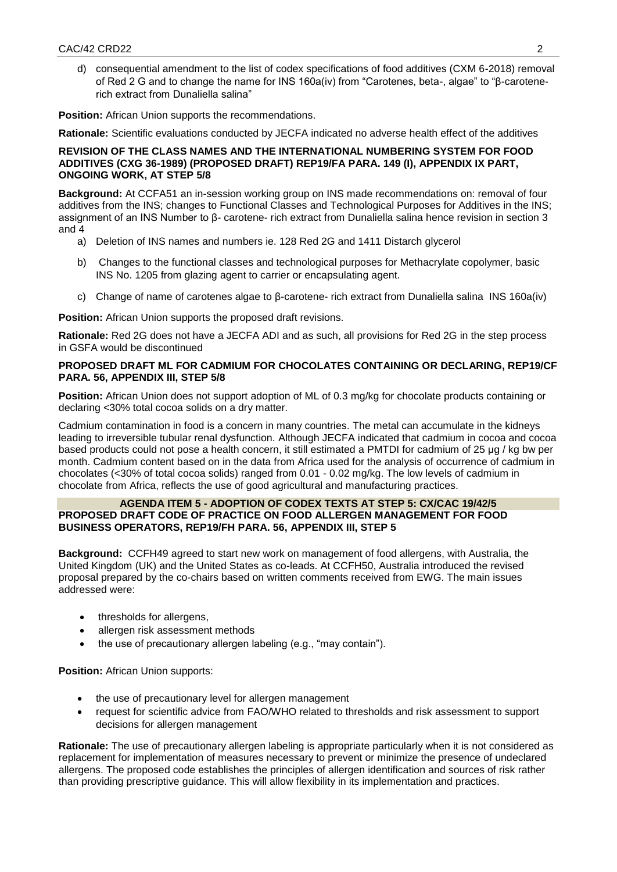d) consequential amendment to the list of codex specifications of food additives (CXM 6-2018) removal of Red 2 G and to change the name for INS 160a(iv) from "Carotenes, beta-, algae" to "β-carotenerich extract from Dunaliella salina"

**Position:** African Union supports the recommendations.

**Rationale:** Scientific evaluations conducted by JECFA indicated no adverse health effect of the additives

### **REVISION OF THE CLASS NAMES AND THE INTERNATIONAL NUMBERING SYSTEM FOR FOOD ADDITIVES (CXG 36-1989) (PROPOSED DRAFT) REP19/FA PARA. 149 (I), APPENDIX IX PART, ONGOING WORK, AT STEP 5/8**

**Background:** At CCFA51 an in-session working group on INS made recommendations on: removal of four additives from the INS; changes to Functional Classes and Technological Purposes for Additives in the INS; assignment of an INS Number to β- carotene- rich extract from Dunaliella salina hence revision in section 3 and 4

- a) Deletion of INS names and numbers ie. 128 Red 2G and 1411 Distarch glycerol
- b) Changes to the functional classes and technological purposes for Methacrylate copolymer, basic INS No. 1205 from glazing agent to carrier or encapsulating agent.
- c) Change of name of carotenes algae to β-carotene- rich extract from Dunaliella salina INS 160a(iv)

**Position:** African Union supports the proposed draft revisions.

**Rationale:** Red 2G does not have a JECFA ADI and as such, all provisions for Red 2G in the step process in GSFA would be discontinued

### **PROPOSED DRAFT ML FOR CADMIUM FOR CHOCOLATES CONTAINING OR DECLARING, REP19/CF PARA. 56, APPENDIX III, STEP 5/8**

**Position:** African Union does not support adoption of ML of 0.3 mg/kg for chocolate products containing or declaring <30% total cocoa solids on a dry matter.

Cadmium contamination in food is a concern in many countries. The metal can accumulate in the kidneys leading to irreversible tubular renal dysfunction. Although JECFA indicated that cadmium in cocoa and cocoa based products could not pose a health concern, it still estimated a PMTDI for cadmium of 25 μg / kg bw per month. Cadmium content based on in the data from Africa used for the analysis of occurrence of cadmium in chocolates (<30% of total cocoa solids) ranged from 0.01 - 0.02 mg/kg. The low levels of cadmium in chocolate from Africa, reflects the use of good agricultural and manufacturing practices.

### **AGENDA ITEM 5 - ADOPTION OF CODEX TEXTS AT STEP 5: CX/CAC 19/42/5 PROPOSED DRAFT CODE OF PRACTICE ON FOOD ALLERGEN MANAGEMENT FOR FOOD BUSINESS OPERATORS, REP19/FH PARA. 56, APPENDIX III, STEP 5**

**Background:** CCFH49 agreed to start new work on management of food allergens, with Australia, the United Kingdom (UK) and the United States as co-leads. At CCFH50, Australia introduced the revised proposal prepared by the co-chairs based on written comments received from EWG. The main issues addressed were:

- thresholds for allergens,
- allergen risk assessment methods
- the use of precautionary allergen labeling (e.g., "may contain").

**Position: African Union supports:** 

- the use of precautionary level for allergen management
- request for scientific advice from FAO/WHO related to thresholds and risk assessment to support decisions for allergen management

**Rationale:** The use of precautionary allergen labeling is appropriate particularly when it is not considered as replacement for implementation of measures necessary to prevent or minimize the presence of undeclared allergens. The proposed code establishes the principles of allergen identification and sources of risk rather than providing prescriptive guidance. This will allow flexibility in its implementation and practices.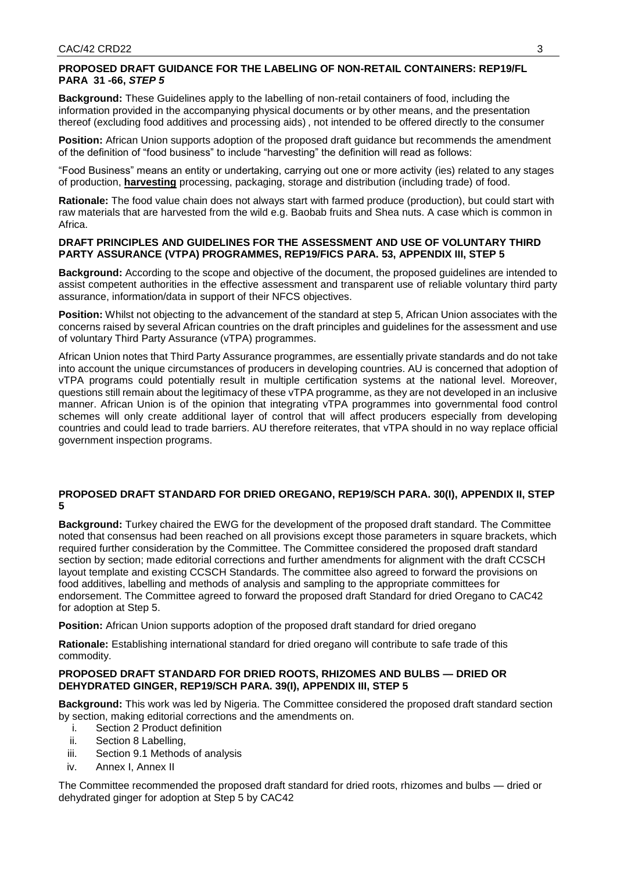# **PROPOSED DRAFT GUIDANCE FOR THE LABELING OF NON-RETAIL CONTAINERS: REP19/FL PARA 31 -66,** *STEP 5*

**Background:** These Guidelines apply to the labelling of non-retail containers of food, including the information provided in the accompanying physical documents or by other means, and the presentation thereof (excluding food additives and processing aids) , not intended to be offered directly to the consumer

**Position:** African Union supports adoption of the proposed draft guidance but recommends the amendment of the definition of "food business" to include "harvesting" the definition will read as follows:

"Food Business" means an entity or undertaking, carrying out one or more activity (ies) related to any stages of production, **harvesting** processing, packaging, storage and distribution (including trade) of food.

**Rationale:** The food value chain does not always start with farmed produce (production), but could start with raw materials that are harvested from the wild e.g. Baobab fruits and Shea nuts. A case which is common in Africa.

# **DRAFT PRINCIPLES AND GUIDELINES FOR THE ASSESSMENT AND USE OF VOLUNTARY THIRD PARTY ASSURANCE (VTPA) PROGRAMMES, REP19/FICS PARA. 53, APPENDIX III, STEP 5**

**Background:** According to the scope and objective of the document, the proposed guidelines are intended to assist competent authorities in the effective assessment and transparent use of reliable voluntary third party assurance, information/data in support of their NFCS objectives.

**Position:** Whilst not objecting to the advancement of the standard at step 5, African Union associates with the concerns raised by several African countries on the draft principles and guidelines for the assessment and use of voluntary Third Party Assurance (vTPA) programmes.

African Union notes that Third Party Assurance programmes, are essentially private standards and do not take into account the unique circumstances of producers in developing countries. AU is concerned that adoption of vTPA programs could potentially result in multiple certification systems at the national level. Moreover, questions still remain about the legitimacy of these vTPA programme, as they are not developed in an inclusive manner. African Union is of the opinion that integrating vTPA programmes into governmental food control schemes will only create additional layer of control that will affect producers especially from developing countries and could lead to trade barriers. AU therefore reiterates, that vTPA should in no way replace official government inspection programs.

# **PROPOSED DRAFT STANDARD FOR DRIED OREGANO, REP19/SCH PARA. 30(I), APPENDIX II, STEP 5**

**Background:** Turkey chaired the EWG for the development of the proposed draft standard. The Committee noted that consensus had been reached on all provisions except those parameters in square brackets, which required further consideration by the Committee. The Committee considered the proposed draft standard section by section; made editorial corrections and further amendments for alignment with the draft CCSCH layout template and existing CCSCH Standards. The committee also agreed to forward the provisions on food additives, labelling and methods of analysis and sampling to the appropriate committees for endorsement. The Committee agreed to forward the proposed draft Standard for dried Oregano to CAC42 for adoption at Step 5.

**Position:** African Union supports adoption of the proposed draft standard for dried oregano

**Rationale:** Establishing international standard for dried oregano will contribute to safe trade of this commodity.

# **PROPOSED DRAFT STANDARD FOR DRIED ROOTS, RHIZOMES AND BULBS — DRIED OR DEHYDRATED GINGER, REP19/SCH PARA. 39(I), APPENDIX III, STEP 5**

**Background:** This work was led by Nigeria. The Committee considered the proposed draft standard section by section, making editorial corrections and the amendments on.

- i. Section 2 Product definition
- ii. Section 8 Labelling,
- iii. Section 9.1 Methods of analysis
- iv. Annex I, Annex II

The Committee recommended the proposed draft standard for dried roots, rhizomes and bulbs — dried or dehydrated ginger for adoption at Step 5 by CAC42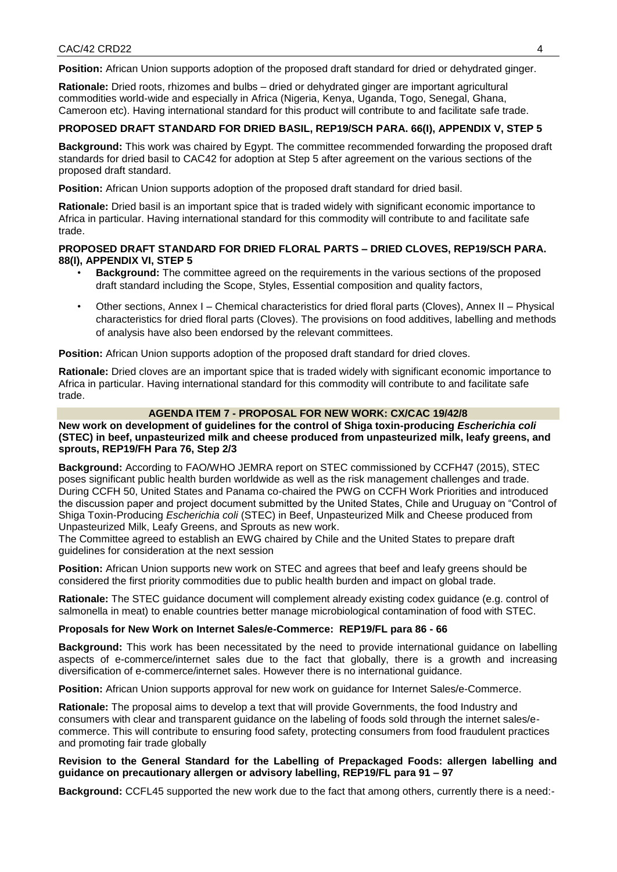**Position:** African Union supports adoption of the proposed draft standard for dried or dehydrated ginger.

**Rationale:** Dried roots, rhizomes and bulbs – dried or dehydrated ginger are important agricultural commodities world-wide and especially in Africa (Nigeria, Kenya, Uganda, Togo, Senegal, Ghana, Cameroon etc). Having international standard for this product will contribute to and facilitate safe trade.

### **PROPOSED DRAFT STANDARD FOR DRIED BASIL, REP19/SCH PARA. 66(I), APPENDIX V, STEP 5**

**Background:** This work was chaired by Egypt. The committee recommended forwarding the proposed draft standards for dried basil to CAC42 for adoption at Step 5 after agreement on the various sections of the proposed draft standard.

**Position:** African Union supports adoption of the proposed draft standard for dried basil.

**Rationale:** Dried basil is an important spice that is traded widely with significant economic importance to Africa in particular. Having international standard for this commodity will contribute to and facilitate safe trade.

### **PROPOSED DRAFT STANDARD FOR DRIED FLORAL PARTS – DRIED CLOVES, REP19/SCH PARA. 88(I), APPENDIX VI, STEP 5**

- **Background:** The committee agreed on the requirements in the various sections of the proposed draft standard including the Scope, Styles, Essential composition and quality factors,
- Other sections, Annex I Chemical characteristics for dried floral parts (Cloves), Annex II Physical characteristics for dried floral parts (Cloves). The provisions on food additives, labelling and methods of analysis have also been endorsed by the relevant committees.

**Position:** African Union supports adoption of the proposed draft standard for dried cloves.

**Rationale:** Dried cloves are an important spice that is traded widely with significant economic importance to Africa in particular. Having international standard for this commodity will contribute to and facilitate safe trade.

### **AGENDA ITEM 7 - PROPOSAL FOR NEW WORK: CX/CAC 19/42/8**

**New work on development of guidelines for the control of Shiga toxin-producing** *Escherichia coli*  **(STEC) in beef, unpasteurized milk and cheese produced from unpasteurized milk, leafy greens, and sprouts, REP19/FH Para 76, Step 2/3** 

**Background:** According to FAO/WHO JEMRA report on STEC commissioned by CCFH47 (2015), STEC poses significant public health burden worldwide as well as the risk management challenges and trade. During CCFH 50, United States and Panama co-chaired the PWG on CCFH Work Priorities and introduced the discussion paper and project document submitted by the United States, Chile and Uruguay on "Control of Shiga Toxin-Producing *Escherichia coli* (STEC) in Beef, Unpasteurized Milk and Cheese produced from Unpasteurized Milk, Leafy Greens, and Sprouts as new work.

The Committee agreed to establish an EWG chaired by Chile and the United States to prepare draft guidelines for consideration at the next session

**Position:** African Union supports new work on STEC and agrees that beef and leafy greens should be considered the first priority commodities due to public health burden and impact on global trade.

**Rationale:** The STEC guidance document will complement already existing codex guidance (e.g. control of salmonella in meat) to enable countries better manage microbiological contamination of food with STEC.

#### **Proposals for New Work on Internet Sales/e-Commerce: REP19/FL para 86 - 66**

**Background:** This work has been necessitated by the need to provide international guidance on labelling aspects of e-commerce/internet sales due to the fact that globally, there is a growth and increasing diversification of e-commerce/internet sales. However there is no international guidance.

**Position:** African Union supports approval for new work on guidance for Internet Sales/e-Commerce.

**Rationale:** The proposal aims to develop a text that will provide Governments, the food Industry and consumers with clear and transparent guidance on the labeling of foods sold through the internet sales/ecommerce. This will contribute to ensuring food safety, protecting consumers from food fraudulent practices and promoting fair trade globally

#### **Revision to the General Standard for the Labelling of Prepackaged Foods: allergen labelling and guidance on precautionary allergen or advisory labelling, REP19/FL para 91 – 97**

**Background:** CCFL45 supported the new work due to the fact that among others, currently there is a need:-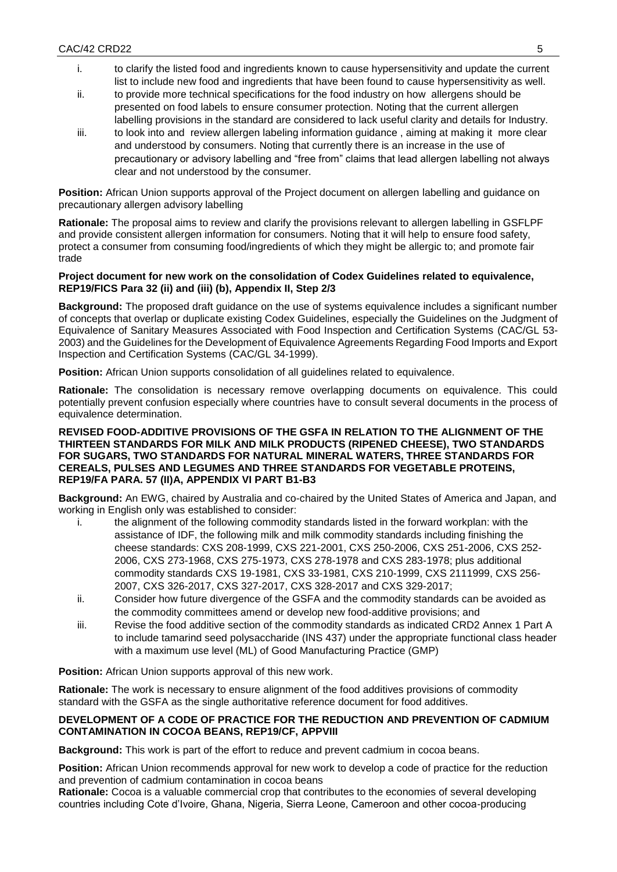- i. to clarify the listed food and ingredients known to cause hypersensitivity and update the current list to include new food and ingredients that have been found to cause hypersensitivity as well.
- ii. to provide more technical specifications for the food industry on how allergens should be presented on food labels to ensure consumer protection. Noting that the current allergen labelling provisions in the standard are considered to lack useful clarity and details for Industry.
- iii. to look into and review allergen labeling information guidance , aiming at making it more clear and understood by consumers. Noting that currently there is an increase in the use of precautionary or advisory labelling and "free from" claims that lead allergen labelling not always clear and not understood by the consumer.

**Position:** African Union supports approval of the Project document on allergen labelling and guidance on precautionary allergen advisory labelling

**Rationale:** The proposal aims to review and clarify the provisions relevant to allergen labelling in GSFLPF and provide consistent allergen information for consumers. Noting that it will help to ensure food safety, protect a consumer from consuming food/ingredients of which they might be allergic to; and promote fair trade

## **Project document for new work on the consolidation of Codex Guidelines related to equivalence, REP19/FICS Para 32 (ii) and (iii) (b), Appendix II, Step 2/3**

**Background:** The proposed draft guidance on the use of systems equivalence includes a significant number of concepts that overlap or duplicate existing Codex Guidelines, especially the Guidelines on the Judgment of Equivalence of Sanitary Measures Associated with Food Inspection and Certification Systems (CAC/GL 53- 2003) and the Guidelines for the Development of Equivalence Agreements Regarding Food Imports and Export Inspection and Certification Systems (CAC/GL 34-1999).

**Position:** African Union supports consolidation of all guidelines related to equivalence.

**Rationale:** The consolidation is necessary remove overlapping documents on equivalence. This could potentially prevent confusion especially where countries have to consult several documents in the process of equivalence determination.

### **REVISED FOOD-ADDITIVE PROVISIONS OF THE GSFA IN RELATION TO THE ALIGNMENT OF THE THIRTEEN STANDARDS FOR MILK AND MILK PRODUCTS (RIPENED CHEESE), TWO STANDARDS FOR SUGARS, TWO STANDARDS FOR NATURAL MINERAL WATERS, THREE STANDARDS FOR CEREALS, PULSES AND LEGUMES AND THREE STANDARDS FOR VEGETABLE PROTEINS, REP19/FA PARA. 57 (II)A, APPENDIX VI PART B1-B3**

**Background:** An EWG, chaired by Australia and co-chaired by the United States of America and Japan, and working in English only was established to consider:

- i. the alignment of the following commodity standards listed in the forward workplan: with the assistance of IDF, the following milk and milk commodity standards including finishing the cheese standards: CXS 208-1999, CXS 221-2001, CXS 250-2006, CXS 251-2006, CXS 252- 2006, CXS 273-1968, CXS 275-1973, CXS 278-1978 and CXS 283-1978; plus additional commodity standards CXS 19-1981, CXS 33-1981, CXS 210-1999, CXS 2111999, CXS 256- 2007, CXS 326-2017, CXS 327-2017, CXS 328-2017 and CXS 329-2017;
- ii. Consider how future divergence of the GSFA and the commodity standards can be avoided as the commodity committees amend or develop new food-additive provisions; and
- iii. Revise the food additive section of the commodity standards as indicated CRD2 Annex 1 Part A to include tamarind seed polysaccharide (INS 437) under the appropriate functional class header with a maximum use level (ML) of Good Manufacturing Practice (GMP)

**Position:** African Union supports approval of this new work.

**Rationale:** The work is necessary to ensure alignment of the food additives provisions of commodity standard with the GSFA as the single authoritative reference document for food additives.

## **DEVELOPMENT OF A CODE OF PRACTICE FOR THE REDUCTION AND PREVENTION OF CADMIUM CONTAMINATION IN COCOA BEANS, REP19/CF, APPVIII**

**Background:** This work is part of the effort to reduce and prevent cadmium in cocoa beans.

**Position:** African Union recommends approval for new work to develop a code of practice for the reduction and prevention of cadmium contamination in cocoa beans

**Rationale:** Cocoa is a valuable commercial crop that contributes to the economies of several developing countries including Cote d'Ivoire, Ghana, Nigeria, Sierra Leone, Cameroon and other cocoa-producing